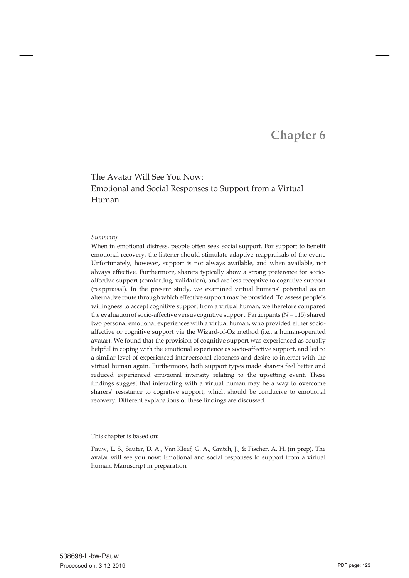# **Chapter 6**

## The Avatar Will See You Now: Emotional and Social Responses to Support from a Virtual Human

#### *Summary*

When in emotional distress, people often seek social support. For support to benefit emotional recovery, the listener should stimulate adaptive reappraisals of the event. Unfortunately, however, support is not always available, and when available, not always effective. Furthermore, sharers typically show a strong preference for socioaffective support (comforting, validation), and are less receptive to cognitive support (reappraisal). In the present study, we examined virtual humans' potential as an alternative route through which effective support may be provided. To assess people's willingness to accept cognitive support from a virtual human, we therefore compared the evaluation of socio-affective versus cognitive support. Participants (*N* = 115) shared two personal emotional experiences with a virtual human, who provided either socioaffective or cognitive support via the Wizard-of-Oz method (i.e., a human-operated avatar). We found that the provision of cognitive support was experienced as equally helpful in coping with the emotional experience as socio-affective support, and led to a similar level of experienced interpersonal closeness and desire to interact with the virtual human again. Furthermore, both support types made sharers feel better and reduced experienced emotional intensity relating to the upsetting event. These findings suggest that interacting with a virtual human may be a way to overcome sharers' resistance to cognitive support, which should be conducive to emotional recovery. Different explanations of these findings are discussed.

This chapter is based on:

Pauw, L. S., Sauter, D. A., Van Kleef, G. A., Gratch, J., & Fischer, A. H. (in prep). The avatar will see you now: Emotional and social responses to support from a virtual human. Manuscript in preparation.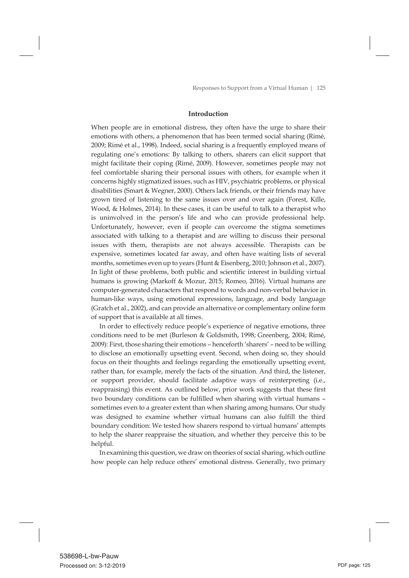#### **Introduction**

When people are in emotional distress, they often have the urge to share their emotions with others, a phenomenon that has been termed social sharing (Rimé, 2009; Rimé et al., 1998). Indeed, social sharing is a frequently employed means of regulating one's emotions: By talking to others, sharers can elicit support that might facilitate their coping (Rimé, 2009). However, sometimes people may not feel comfortable sharing their personal issues with others, for example when it concerns highly stigmatized issues, such as HIV, psychiatric problems, or physical disabilities (Smart & Wegner, 2000). Others lack friends, or their friends may have grown tired of listening to the same issues over and over again (Forest, Kille, Wood, & Holmes, 2014). In these cases, it can be useful to talk to a therapist who is uninvolved in the person's life and who can provide professional help. Unfortunately, however, even if people can overcome the stigma sometimes associated with talking to a therapist and are willing to discuss their personal issues with them, therapists are not always accessible. Therapists can be expensive, sometimes located far away, and often have waiting lists of several months, sometimes even up to years (Hunt & Eisenberg, 2010; Johnson et al., 2007). In light of these problems, both public and scientific interest in building virtual humans is growing (Markoff & Mozur, 2015; Romeo, 2016). Virtual humans are computer-generated characters that respond to words and non-verbal behavior in human-like ways, using emotional expressions, language, and body language (Gratch et al., 2002), and can provide an alternative or complementary online form of support that is available at all times.

 In order to effectively reduce people's experience of negative emotions, three conditions need to be met (Burleson & Goldsmith, 1998; Greenberg, 2004; Rimé, 2009): First, those sharing their emotions – henceforth 'sharers' – need to be willing to disclose an emotionally upsetting event. Second, when doing so, they should focus on their thoughts and feelings regarding the emotionally upsetting event, rather than, for example, merely the facts of the situation. And third, the listener, or support provider, should facilitate adaptive ways of reinterpreting (i.e., reappraising) this event. As outlined below, prior work suggests that these first two boundary conditions can be fulfilled when sharing with virtual humans – sometimes even to a greater extent than when sharing among humans. Our study was designed to examine whether virtual humans can also fulfill the third boundary condition: We tested how sharers respond to virtual humans' attempts to help the sharer reappraise the situation, and whether they perceive this to be helpful.

 In examining this question, we draw on theories of social sharing, which outline how people can help reduce others' emotional distress. Generally, two primary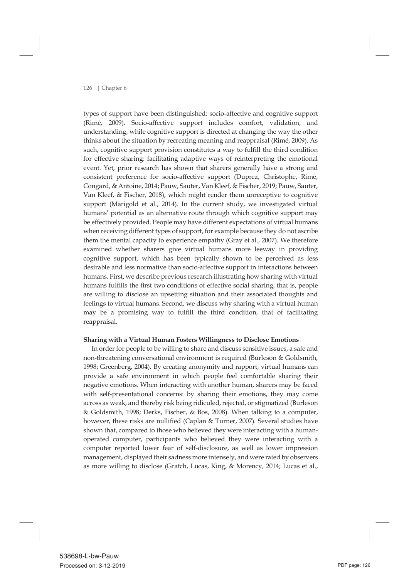types of support have been distinguished: socio-affective and cognitive support (Rimé, 2009). Socio-affective support includes comfort, validation, and understanding, while cognitive support is directed at changing the way the other thinks about the situation by recreating meaning and reappraisal (Rimé, 2009). As such, cognitive support provision constitutes a way to fulfill the third condition for effective sharing: facilitating adaptive ways of reinterpreting the emotional event. Yet, prior research has shown that sharers generally have a strong and consistent preference for socio-affective support (Duprez, Christophe, Rimé, Congard, & Antoine, 2014; Pauw, Sauter, Van Kleef, & Fischer, 2019; Pauw, Sauter, Van Kleef, & Fischer, 2018), which might render them unreceptive to cognitive support (Marigold et al., 2014). In the current study, we investigated virtual humans' potential as an alternative route through which cognitive support may be effectively provided. People may have different expectations of virtual humans when receiving different types of support, for example because they do not ascribe them the mental capacity to experience empathy (Gray et al., 2007). We therefore examined whether sharers give virtual humans more leeway in providing cognitive support, which has been typically shown to be perceived as less desirable and less normative than socio-affective support in interactions between humans. First, we describe previous research illustrating how sharing with virtual humans fulfills the first two conditions of effective social sharing, that is, people are willing to disclose an upsetting situation and their associated thoughts and feelings to virtual humans. Second, we discuss why sharing with a virtual human may be a promising way to fulfill the third condition, that of facilitating reappraisal.

#### **Sharing with a Virtual Human Fosters Willingness to Disclose Emotions**

 In order for people to be willing to share and discuss sensitive issues, a safe and non-threatening conversational environment is required (Burleson & Goldsmith, 1998; Greenberg, 2004). By creating anonymity and rapport, virtual humans can provide a safe environment in which people feel comfortable sharing their negative emotions. When interacting with another human, sharers may be faced with self-presentational concerns: by sharing their emotions, they may come across as weak, and thereby risk being ridiculed, rejected, or stigmatized (Burleson & Goldsmith, 1998; Derks, Fischer, & Bos, 2008). When talking to a computer, however, these risks are nullified (Caplan & Turner, 2007). Several studies have shown that, compared to those who believed they were interacting with a humanoperated computer, participants who believed they were interacting with a computer reported lower fear of self-disclosure, as well as lower impression management, displayed their sadness more intensely, and were rated by observers as more willing to disclose (Gratch, Lucas, King, & Morency, 2014; Lucas et al.,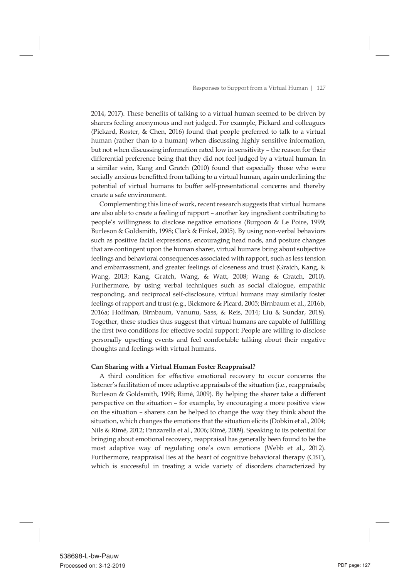2014, 2017). These benefits of talking to a virtual human seemed to be driven by sharers feeling anonymous and not judged. For example, Pickard and colleagues (Pickard, Roster, & Chen, 2016) found that people preferred to talk to a virtual human (rather than to a human) when discussing highly sensitive information, but not when discussing information rated low in sensitivity – the reason for their differential preference being that they did not feel judged by a virtual human. In a similar vein, Kang and Gratch (2010) found that especially those who were socially anxious benefitted from talking to a virtual human, again underlining the potential of virtual humans to buffer self-presentational concerns and thereby create a safe environment.

 Complementing this line of work, recent research suggests that virtual humans are also able to create a feeling of rapport – another key ingredient contributing to people's willingness to disclose negative emotions (Burgoon & Le Poire, 1999; Burleson & Goldsmith, 1998; Clark & Finkel, 2005). By using non-verbal behaviors such as positive facial expressions, encouraging head nods, and posture changes that are contingent upon the human sharer, virtual humans bring about subjective feelings and behavioral consequences associated with rapport, such as less tension and embarrassment, and greater feelings of closeness and trust (Gratch, Kang, & Wang, 2013; Kang, Gratch, Wang, & Watt, 2008; Wang & Gratch, 2010). Furthermore, by using verbal techniques such as social dialogue, empathic responding, and reciprocal self-disclosure, virtual humans may similarly foster feelings of rapport and trust (e.g., Bickmore & Picard, 2005; Birnbaum et al., 2016b, 2016a; Hoffman, Birnbaum, Vanunu, Sass, & Reis, 2014; Liu & Sundar, 2018). Together, these studies thus suggest that virtual humans are capable of fulfilling the first two conditions for effective social support: People are willing to disclose personally upsetting events and feel comfortable talking about their negative thoughts and feelings with virtual humans.

### **Can Sharing with a Virtual Human Foster Reappraisal?**

 A third condition for effective emotional recovery to occur concerns the listener's facilitation of more adaptive appraisals of the situation (i.e., reappraisals; Burleson & Goldsmith, 1998; Rimé, 2009). By helping the sharer take a different perspective on the situation – for example, by encouraging a more positive view on the situation – sharers can be helped to change the way they think about the situation, which changes the emotions that the situation elicits (Dobkin et al., 2004; Nils & Rimé, 2012; Panzarella et al., 2006; Rimé, 2009). Speaking to its potential for bringing about emotional recovery, reappraisal has generally been found to be the most adaptive way of regulating one's own emotions (Webb et al., 2012). Furthermore, reappraisal lies at the heart of cognitive behavioral therapy (CBT), which is successful in treating a wide variety of disorders characterized by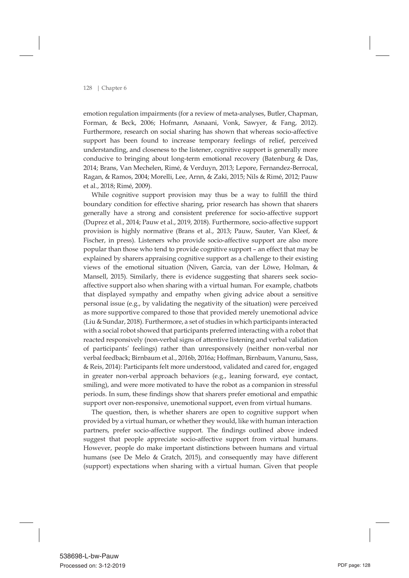emotion regulation impairments (for a review of meta-analyses, Butler, Chapman, Forman, & Beck, 2006; Hofmann, Asnaani, Vonk, Sawyer, & Fang, 2012). Furthermore, research on social sharing has shown that whereas socio-affective support has been found to increase temporary feelings of relief, perceived understanding, and closeness to the listener, cognitive support is generally more conducive to bringing about long-term emotional recovery (Batenburg & Das, 2014; Brans, Van Mechelen, Rimé, & Verduyn, 2013; Lepore, Fernandez-Berrocal, Ragan, & Ramos, 2004; Morelli, Lee, Arnn, & Zaki, 2015; Nils & Rimé, 2012; Pauw et al., 2018; Rimé, 2009).

 While cognitive support provision may thus be a way to fulfill the third boundary condition for effective sharing, prior research has shown that sharers generally have a strong and consistent preference for socio-affective support (Duprez et al., 2014; Pauw et al., 2019, 2018). Furthermore, socio-affective support provision is highly normative (Brans et al., 2013; Pauw, Sauter, Van Kleef, & Fischer, in press). Listeners who provide socio-affective support are also more popular than those who tend to provide cognitive support – an effect that may be explained by sharers appraising cognitive support as a challenge to their existing views of the emotional situation (Niven, Garcia, van der Löwe, Holman, & Mansell, 2015). Similarly, there is evidence suggesting that sharers seek socioaffective support also when sharing with a virtual human. For example, chatbots that displayed sympathy and empathy when giving advice about a sensitive personal issue (e.g., by validating the negativity of the situation) were perceived as more supportive compared to those that provided merely unemotional advice (Liu & Sundar, 2018). Furthermore, a set of studies in which participants interacted with a social robot showed that participants preferred interacting with a robot that reacted responsively (non-verbal signs of attentive listening and verbal validation of participants' feelings) rather than unresponsively (neither non-verbal nor verbal feedback; Birnbaum et al., 2016b, 2016a; Hoffman, Birnbaum, Vanunu, Sass, & Reis, 2014): Participants felt more understood, validated and cared for, engaged in greater non-verbal approach behaviors (e.g., leaning forward, eye contact, smiling), and were more motivated to have the robot as a companion in stressful periods. In sum, these findings show that sharers prefer emotional and empathic support over non-responsive, unemotional support, even from virtual humans.

 The question, then, is whether sharers are open to cognitive support when provided by a virtual human, or whether they would, like with human interaction partners, prefer socio-affective support. The findings outlined above indeed suggest that people appreciate socio-affective support from virtual humans. However, people do make important distinctions between humans and virtual humans (see De Melo & Gratch, 2015), and consequently may have different (support) expectations when sharing with a virtual human. Given that people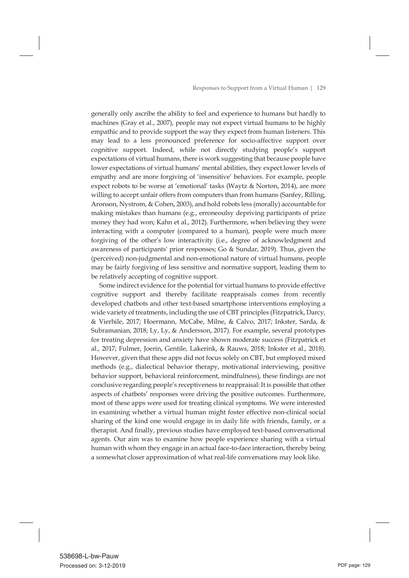generally only ascribe the ability to feel and experience to humans but hardly to machines (Gray et al., 2007), people may not expect virtual humans to be highly empathic and to provide support the way they expect from human listeners. This may lead to a less pronounced preference for socio-affective support over cognitive support. Indeed, while not directly studying people's support expectations of virtual humans, there is work suggesting that because people have lower expectations of virtual humans' mental abilities, they expect lower levels of empathy and are more forgiving of 'insensitive' behaviors. For example, people expect robots to be worse at 'emotional' tasks (Waytz & Norton, 2014), are more willing to accept unfair offers from computers than from humans (Sanfey, Rilling, Aronson, Nystrom, & Cohen, 2003), and hold robots less (morally) accountable for making mistakes than humans (e.g., erroneoulsy depriving participants of prize money they had won; Kahn et al., 2012). Furthermore, when believing they were interacting with a computer (compared to a human), people were much more forgiving of the other's low interactivity (i.e., degree of acknowledgment and awareness of participants' prior responses; Go & Sundar, 2019). Thus, given the (perceived) non-judgmental and non-emotional nature of virtual humans, people may be fairly forgiving of less sensitive and normative support, leading them to be relatively accepting of cognitive support.

 Some indirect evidence for the potential for virtual humans to provide effective cognitive support and thereby facilitate reappraisals comes from recently developed chatbots and other text-based smartphone interventions employing a wide variety of treatments, including the use of CBT principles (Fitzpatrick, Darcy, & Vierhile, 2017; Hoermann, McCabe, Milne, & Calvo, 2017; Inkster, Sarda, & Subramanian, 2018; Ly, Ly, & Andersson, 2017). For example, several prototypes for treating depression and anxiety have shown moderate success (Fitzpatrick et al., 2017; Fulmer, Joerin, Gentile, Lakerink, & Rauws, 2018; Inkster et al., 2018). However, given that these apps did not focus solely on CBT, but employed mixed methods (e.g., dialectical behavior therapy, motivational interviewing, positive behavior support, behavioral reinforcement, mindfulness), these findings are not conclusive regarding people's receptiveness to reappraisal: It is possible that other aspects of chatbots' responses were driving the positive outcomes. Furthermore, most of these apps were used for treating clinical symptoms. We were interested in examining whether a virtual human might foster effective non-clinical social sharing of the kind one would engage in in daily life with friends, family, or a therapist. And finally, previous studies have employed text-based conversational agents. Our aim was to examine how people experience sharing with a virtual human with whom they engage in an actual face-to-face interaction, thereby being a somewhat closer approximation of what real-life conversations may look like.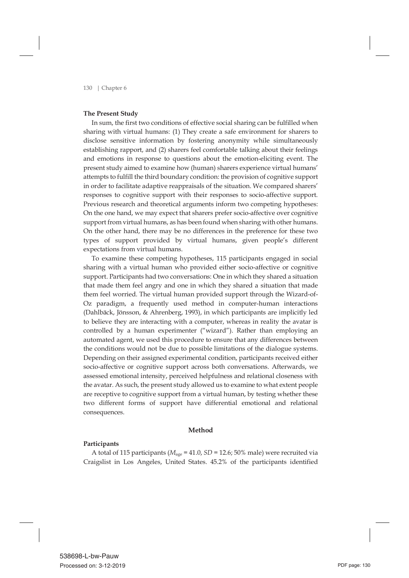#### **The Present Study**

 In sum, the first two conditions of effective social sharing can be fulfilled when sharing with virtual humans: (1) They create a safe environment for sharers to disclose sensitive information by fostering anonymity while simultaneously establishing rapport, and (2) sharers feel comfortable talking about their feelings and emotions in response to questions about the emotion-eliciting event. The present study aimed to examine how (human) sharers experience virtual humans' attempts to fulfill the third boundary condition: the provision of cognitive support in order to facilitate adaptive reappraisals of the situation. We compared sharers' responses to cognitive support with their responses to socio-affective support. Previous research and theoretical arguments inform two competing hypotheses: On the one hand, we may expect that sharers prefer socio-affective over cognitive support from virtual humans, as has been found when sharing with other humans. On the other hand, there may be no differences in the preference for these two types of support provided by virtual humans, given people's different expectations from virtual humans.

 To examine these competing hypotheses, 115 participants engaged in social sharing with a virtual human who provided either socio-affective or cognitive support. Participants had two conversations: One in which they shared a situation that made them feel angry and one in which they shared a situation that made them feel worried. The virtual human provided support through the Wizard-of-Oz paradigm, a frequently used method in computer-human interactions (Dahlbäck, Jönsson, & Ahrenberg, 1993), in which participants are implicitly led to believe they are interacting with a computer, whereas in reality the avatar is controlled by a human experimenter ("wizard"). Rather than employing an automated agent, we used this procedure to ensure that any differences between the conditions would not be due to possible limitations of the dialogue systems. Depending on their assigned experimental condition, participants received either socio-affective or cognitive support across both conversations. Afterwards, we assessed emotional intensity, perceived helpfulness and relational closeness with the avatar. As such, the present study allowed us to examine to what extent people are receptive to cognitive support from a virtual human, by testing whether these two different forms of support have differential emotional and relational consequences.

#### **Method**

#### **Participants**

A total of 115 participants ( $M_{\text{age}}$  = 41.0, *SD* = 12.6; 50% male) were recruited via Craigslist in Los Angeles, United States. 45.2% of the participants identified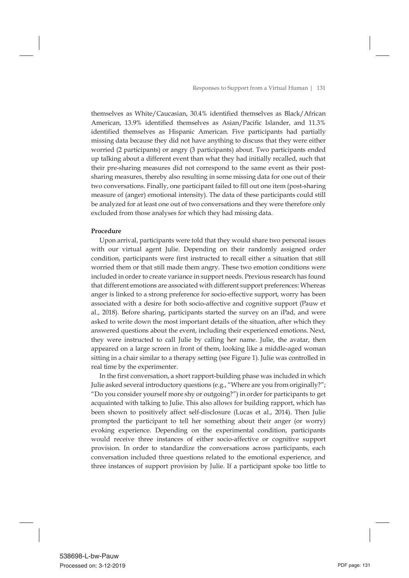themselves as White/Caucasian, 30.4% identified themselves as Black/African American, 13.9% identified themselves as Asian/Pacific Islander, and 11.3% identified themselves as Hispanic American. Five participants had partially missing data because they did not have anything to discuss that they were either worried (2 participants) or angry (3 participants) about. Two participants ended up talking about a different event than what they had initially recalled, such that their pre-sharing measures did not correspond to the same event as their postsharing measures, thereby also resulting in some missing data for one out of their two conversations. Finally, one participant failed to fill out one item (post-sharing measure of (anger) emotional intensity). The data of these participants could still be analyzed for at least one out of two conversations and they were therefore only excluded from those analyses for which they had missing data.

### **Procedure**

 Upon arrival, participants were told that they would share two personal issues with our virtual agent Julie. Depending on their randomly assigned order condition, participants were first instructed to recall either a situation that still worried them or that still made them angry. These two emotion conditions were included in order to create variance in support needs. Previous research has found that different emotions are associated with different support preferences: Whereas anger is linked to a strong preference for socio-effective support, worry has been associated with a desire for both socio-affective and cognitive support (Pauw et al., 2018). Before sharing, participants started the survey on an iPad, and were asked to write down the most important details of the situation, after which they answered questions about the event, including their experienced emotions. Next, they were instructed to call Julie by calling her name. Julie, the avatar, then appeared on a large screen in front of them, looking like a middle-aged woman sitting in a chair similar to a therapy setting (see Figure 1). Julie was controlled in real time by the experimenter.

 In the first conversation, a short rapport-building phase was included in which Julie asked several introductory questions (e.g., "Where are you from originally?"; "Do you consider yourself more shy or outgoing?") in order for participants to get acquainted with talking to Julie. This also allows for building rapport, which has been shown to positively affect self-disclosure (Lucas et al., 2014). Then Julie prompted the participant to tell her something about their anger (or worry) evoking experience. Depending on the experimental condition, participants would receive three instances of either socio-affective or cognitive support provision. In order to standardize the conversations across participants, each conversation included three questions related to the emotional experience, and three instances of support provision by Julie. If a participant spoke too little to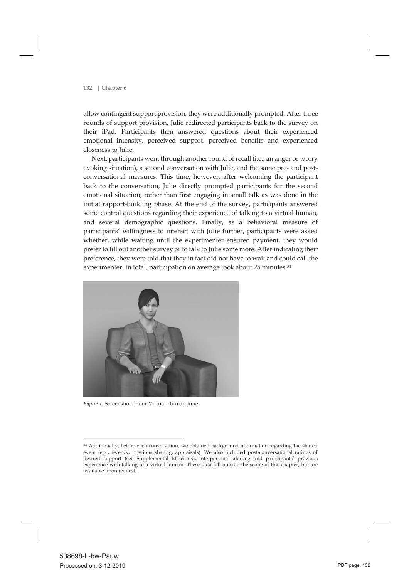allow contingent support provision, they were additionally prompted. After three rounds of support provision, Julie redirected participants back to the survey on their iPad. Participants then answered questions about their experienced emotional intensity, perceived support, perceived benefits and experienced closeness to Julie.

 Next, participants went through another round of recall (i.e., an anger or worry evoking situation), a second conversation with Julie, and the same pre- and postconversational measures. This time, however, after welcoming the participant back to the conversation, Julie directly prompted participants for the second emotional situation, rather than first engaging in small talk as was done in the initial rapport-building phase. At the end of the survey, participants answered some control questions regarding their experience of talking to a virtual human, and several demographic questions. Finally, as a behavioral measure of participants' willingness to interact with Julie further, participants were asked whether, while waiting until the experimenter ensured payment, they would prefer to fill out another survey or to talk to Julie some more. After indicating their preference, they were told that they in fact did not have to wait and could call the experimenter. In total, participation on average took about 25 minutes.<sup>34</sup>



*Figure 1.* Screenshot of our Virtual Human Julie.

<sup>&</sup>lt;sup>34</sup> Additionally, before each conversation, we obtained background information regarding the shared event (e.g., recency, previous sharing, appraisals). We also included post-conversational ratings of desired support (see Supplemental Materials), interpersonal alerting and participants' previous experience with talking to a virtual human. These data fall outside the scope of this chapter, but are available upon request.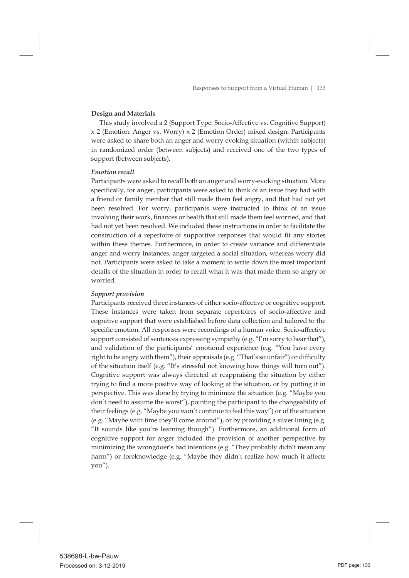### **Design and Materials**

 This study involved a 2 (Support Type: Socio-Affective vs. Cognitive Support) x 2 (Emotion: Anger vs. Worry) x 2 (Emotion Order) mixed design. Participants were asked to share both an anger and worry evoking situation (within subjects) in randomized order (between subjects) and received one of the two types of support (between subjects).

### *Emotion recall*

Participants were asked to recall both an anger and worry-evoking situation. More specifically, for anger, participants were asked to think of an issue they had with a friend or family member that still made them feel angry, and that had not yet been resolved. For worry, participants were instructed to think of an issue involving their work, finances or health that still made them feel worried, and that had not yet been resolved. We included these instructions in order to facilitate the construction of a repertoire of supportive responses that would fit any stories within these themes. Furthermore, in order to create variance and differentiate anger and worry instances, anger targeted a social situation, whereas worry did not. Participants were asked to take a moment to write down the most important details of the situation in order to recall what it was that made them so angry or worried.

### *Support provision*

Participants received three instances of either socio-affective or cognitive support. These instances were taken from separate repertoires of socio-affective and cognitive support that were established before data collection and tailored to the specific emotion. All responses were recordings of a human voice. Socio-affective support consisted of sentences expressing sympathy (e.g. "I'm sorry to hear that"), and validation of the participants' emotional experience (e.g. "You have every right to be angry with them"), their appraisals (e.g. "That's so unfair") or difficulty of the situation itself (e.g. "It's stressful not knowing how things will turn out"). Cognitive support was always directed at reappraising the situation by either trying to find a more positive way of looking at the situation, or by putting it in perspective. This was done by trying to minimize the situation (e.g. "Maybe you don't need to assume the worst"), pointing the participant to the changeability of their feelings (e.g. "Maybe you won't continue to feel this way") or of the situation (e.g. "Maybe with time they'll come around"), or by providing a silver lining (e.g. "It sounds like you're learning though"). Furthermore, an additional form of cognitive support for anger included the provision of another perspective by minimizing the wrongdoer's bad intentions (e.g. "They probably didn't mean any harm") or foreknowledge (e.g. "Maybe they didn't realize how much it affects you").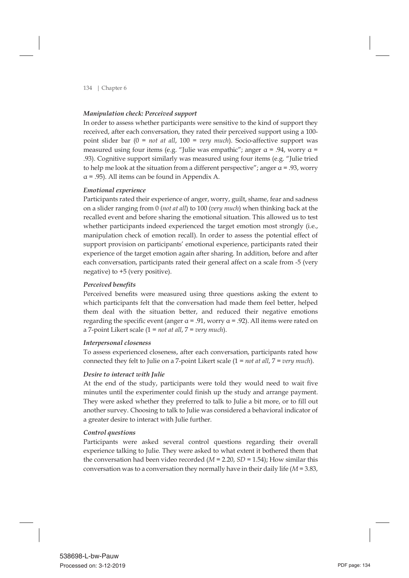### *Manipulation check: Perceived support*

In order to assess whether participants were sensitive to the kind of support they received, after each conversation, they rated their perceived support using a 100 point slider bar (0 = *not at all*, 100 = *very much*). Socio-affective support was measured using four items (e.g. "Julie was empathic"; anger  $\alpha$  = .94, worry  $\alpha$  = .93). Cognitive support similarly was measured using four items (e.g. "Julie tried to help me look at the situation from a different perspective"; anger  $\alpha$  = .93, worry  $\alpha$  = .95). All items can be found in Appendix A.

### *Emotional experience*

Participants rated their experience of anger, worry, guilt, shame, fear and sadness on a slider ranging from 0 (*not at all*) to 100 (*very much*) when thinking back at the recalled event and before sharing the emotional situation. This allowed us to test whether participants indeed experienced the target emotion most strongly (i.e., manipulation check of emotion recall). In order to assess the potential effect of support provision on participants' emotional experience, participants rated their experience of the target emotion again after sharing. In addition, before and after each conversation, participants rated their general affect on a scale from -5 (very negative) to +5 (very positive).

### *Perceived benefits*

Perceived benefits were measured using three questions asking the extent to which participants felt that the conversation had made them feel better, helped them deal with the situation better, and reduced their negative emotions regarding the specific event (anger  $\alpha$  = .91, worry  $\alpha$  = .92). All items were rated on a 7-point Likert scale (1 = *not at all*, 7 = *very much*).

### *Interpersonal closeness*

To assess experienced closeness, after each conversation, participants rated how connected they felt to Julie on a 7-point Likert scale (1 = *not at all*, 7 = *very much*).

### *Desire to interact with Julie*

At the end of the study, participants were told they would need to wait five minutes until the experimenter could finish up the study and arrange payment. They were asked whether they preferred to talk to Julie a bit more, or to fill out another survey. Choosing to talk to Julie was considered a behavioral indicator of a greater desire to interact with Julie further.

### *Control questions*

Participants were asked several control questions regarding their overall experience talking to Julie. They were asked to what extent it bothered them that the conversation had been video recorded (*M* = 2.20, *SD* = 1.54); How similar this conversation was to a conversation they normally have in their daily life (*M* = 3.83,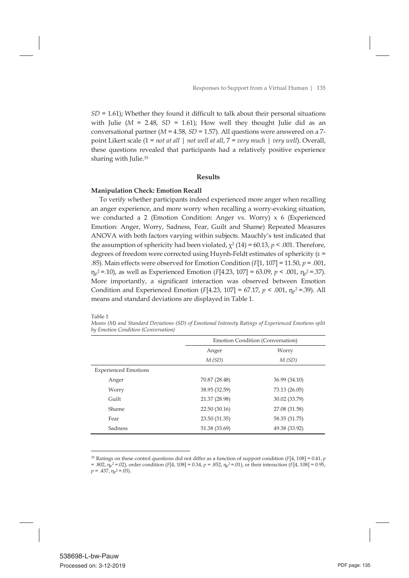$SD = 1.61$ ; Whether they found it difficult to talk about their personal situations with Julie ( $M = 2.48$ ,  $SD = 1.61$ ); How well they thought Julie did as an conversational partner (*M* = 4.58, *SD* = 1.57). All questions were answered on a 7 point Likert scale (1 = *not at all* | *not well at all*, 7 = *very much* | *very well*). Overall, these questions revealed that participants had a relatively positive experience sharing with Julie.<sup>35</sup>

### **Results**

### **Manipulation Check: Emotion Recall**

 To verify whether participants indeed experienced more anger when recalling an anger experience, and more worry when recalling a worry-evoking situation, we conducted a 2 (Emotion Condition: Anger vs. Worry)  $x \times 6$  (Experienced Emotion: Anger, Worry, Sadness, Fear, Guilt and Shame) Repeated Measures ANOVA with both factors varying within subjects. Mauchly's test indicated that the assumption of sphericity had been violated,  $\chi^2$  (14) = 60.13, *p* < .001. Therefore, degrees of freedom were corrected using Huynh-Feldt estimates of sphericity ( $\varepsilon$  = .85). Main effects were observed for Emotion Condition (*F*[1, 107] = 11.50, *p* = .001,  $n_p^2 = 0.10$ , as well as Experienced Emotion (*F*[4.23, 107] = 63.09, *p* < .001,  $n_p^2 = 0.37$ ). More importantly, a significant interaction was observed between Emotion Condition and Experienced Emotion (*F*[4.23, 107] = 67.17,  $p < .001$ ,  $\eta_p^2 = .39$ ). All means and standard deviations are displayed in Table 1.

Table 1

*Means (M) and Standard Deviations (SD) of Emotional Intensity Ratings of Experienced Emotions split by Emotion Condition (Conversation)*

|                             | <b>Emotion Condition (Conversation)</b> |               |  |
|-----------------------------|-----------------------------------------|---------------|--|
|                             | Worry<br>Anger                          |               |  |
|                             | M(SD)                                   | M(SD)         |  |
| <b>Experienced Emotions</b> |                                         |               |  |
| Anger                       | 70.87 (28.48)                           | 36.99 (34.10) |  |
| Worry                       | 38.95 (32.59)                           | 73.13 (26.05) |  |
| Guilt                       | 21.37 (28.98)                           | 30.02 (33.79) |  |
| Shame                       | 22.50 (30.16)                           | 27.08 (31.58) |  |
| Fear                        | 23.50 (31.35)                           | 58.35 (31.75) |  |
| Sadness                     | 51.38 (33.69)                           | 49.38 (33.92) |  |

 <sup>35</sup> Ratings on these control questions did not differ as <sup>a</sup> function of support condition (*F*[4, 108] <sup>=</sup> 0.41, *<sup>p</sup>* = .802, ηp<sup>2</sup> =.02), order condition (*F*[4, 108] = 0.34, *p* = .852, ηp<sup>2</sup> =.01), or their interaction (*F*[4, 108] = 0.95,  $p = .437, \eta_{\rm p}^2 = .03$ ).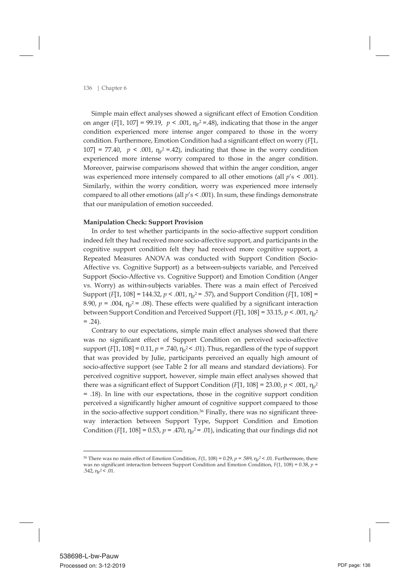Simple main effect analyses showed a significant effect of Emotion Condition on anger (*F*[1, 107] = 99.19,  $p < .001$ ,  $n_p^2 = .48$ ), indicating that those in the anger condition experienced more intense anger compared to those in the worry condition. Furthermore, Emotion Condition had a significant effect on worry (*F*[1,  $107$ ] = 77.40,  $p < .001$ ,  $n_p^2 = .42$ ), indicating that those in the worry condition experienced more intense worry compared to those in the anger condition. Moreover, pairwise comparisons showed that within the anger condition, anger was experienced more intensely compared to all other emotions (all *p*'s < .001). Similarly, within the worry condition, worry was experienced more intensely compared to all other emotions (all *p*'s < .001). In sum, these findings demonstrate that our manipulation of emotion succeeded.

### **Manipulation Check: Support Provision**

 In order to test whether participants in the socio-affective support condition indeed felt they had received more socio-affective support, and participants in the cognitive support condition felt they had received more cognitive support, a Repeated Measures ANOVA was conducted with Support Condition (Socio-Affective vs. Cognitive Support) as a between-subjects variable, and Perceived Support (Socio-Affective vs. Cognitive Support) and Emotion Condition (Anger vs. Worry) as within-subjects variables. There was a main effect of Perceived Support (*F*[1, 108] = 144.32,  $p < .001$ ,  $\eta_p^2 = .57$ ), and Support Condition (*F*[1, 108] = 8.90,  $p = .004$ ,  $\eta_p^2 = .08$ ). These effects were qualified by a significant interaction between Support Condition and Perceived Support (*F*[1, 108] = 33.15, *p* < .001, ηp2  $= .24$ ).

 Contrary to our expectations, simple main effect analyses showed that there was no significant effect of Support Condition on perceived socio-affective support ( $F[1, 108] = 0.11$ ,  $p = .740$ ,  $\eta_p^2$  < .01). Thus, regardless of the type of support that was provided by Julie, participants perceived an equally high amount of socio-affective support (see Table 2 for all means and standard deviations). For perceived cognitive support, however, simple main effect analyses showed that there was a significant effect of Support Condition  $(F[1, 108] = 23.00, p \le 0.001, \eta_p^2$ = .18). In line with our expectations, those in the cognitive support condition perceived a significantly higher amount of cognitive support compared to those in the socio-affective support condition.<sup>36</sup> Finally, there was no significant threeway interaction between Support Type, Support Condition and Emotion Condition (*F*[1, 108] = 0.53,  $p = .470$ ,  $\eta_p^2 = .01$ ), indicating that our findings did not

<sup>&</sup>lt;sup>36</sup> There was no main effect of Emotion Condition,  $F(1, 108) = 0.29$ ,  $p = .589$ ,  $n_p^2 < .01$ . Furthermore, there was no significant interaction between Support Condition and Emotion Condition, *F*(1, 108) = 0.38, *p* = .542,  $\eta_p^2 < 0.01$ .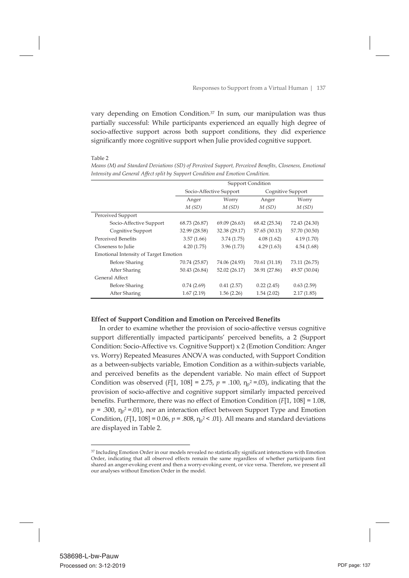vary depending on Emotion Condition.<sup>37</sup> In sum, our manipulation was thus partially successful: While participants experienced an equally high degree of socio-affective support across both support conditions, they did experience significantly more cognitive support when Julie provided cognitive support.

Table 2

*Means (M) and Standard Deviations (SD) of Perceived Support, Perceived Benefits, Closeness, Emotional Intensity and General Affect split by Support Condition and Emotion Condition.*

|                                       | <b>Support Condition</b> |               |               |                   |  |
|---------------------------------------|--------------------------|---------------|---------------|-------------------|--|
|                                       | Socio-Affective Support  |               |               | Cognitive Support |  |
|                                       | Worry<br>Anger           |               | Anger         | Worry             |  |
|                                       | M(SD)                    | M(SD)         | M(SD)         | M(SD)             |  |
| Perceived Support                     |                          |               |               |                   |  |
| Socio-Affective Support               | 68.73 (26.87)            | 69.09 (26.63) | 68.42 (25.34) | 72.43 (24.30)     |  |
| Cognitive Support                     | 32.99 (28.58)            | 32.38 (29.17) | 57.65 (30.13) | 57.70 (30.50)     |  |
| Perceived Benefits                    | 3.57(1.66)               | 3.74(1.75)    | 4.08(1.62)    | 4.19(1.70)        |  |
| Closeness to Julie                    | 4.20(1.75)               | 3.96(1.73)    | 4.29(1.63)    | 4.54(1.68)        |  |
| Emotional Intensity of Target Emotion |                          |               |               |                   |  |
| <b>Before Sharing</b>                 | 70.74 (25.87)            | 74.06 (24.93) | 70.61 (31.18) | 73.11 (26.75)     |  |
| After Sharing                         | 50.43 (26.84)            | 52.02 (26.17) | 38.91 (27.86) | 49.57 (30.04)     |  |
| <b>General Affect</b>                 |                          |               |               |                   |  |
| <b>Before Sharing</b>                 | 0.74(2.69)               | 0.41(2.57)    | 0.22(2.45)    | 0.63(2.59)        |  |
| After Sharing                         | 1.67(2.19)               | 1.56(2.26)    | 1.54(2.02)    | 2.17(1.85)        |  |

#### **Effect of Support Condition and Emotion on Perceived Benefits**

 In order to examine whether the provision of socio-affective versus cognitive support differentially impacted participants' perceived benefits, a 2 (Support Condition: Socio-Affective vs. Cognitive Support) x 2 (Emotion Condition: Anger vs. Worry) Repeated Measures ANOVA was conducted, with Support Condition as a between-subjects variable, Emotion Condition as a within-subjects variable, and perceived benefits as the dependent variable. No main effect of Support Condition was observed (*F*[1, 108] = 2.75,  $p = .100$ ,  $n_p^2 = .03$ ), indicating that the provision of socio-affective and cognitive support similarly impacted perceived benefits. Furthermore, there was no effect of Emotion Condition (*F*[1, 108] = 1.08,  $p = .300$ ,  $\eta_p^2 = .01$ ), nor an interaction effect between Support Type and Emotion Condition,  $(F[1, 108] = 0.06, p = .808, n_{p}^{2} < .01)$ . All means and standard deviations are displayed in Table 2.

 <sup>37</sup> Including Emotion Order in our models revealed no statistically significant interactions with Emotion Order, indicating that all observed effects remain the same regardless of whether participants first shared an anger-evoking event and then a worry-evoking event, or vice versa. Therefore, we present all our analyses without Emotion Order in the model.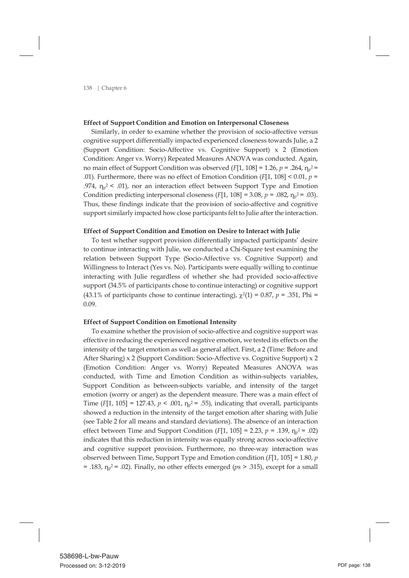#### **Effect of Support Condition and Emotion on Interpersonal Closeness**

 Similarly, in order to examine whether the provision of socio-affective versus cognitive support differentially impacted experienced closeness towards Julie, a 2 (Support Condition: Socio-Affective vs. Cognitive Support) x 2 (Emotion Condition: Anger vs. Worry) Repeated Measures ANOVA was conducted. Again, no main effect of Support Condition was observed ( $F[1, 108] = 1.26$ ,  $p = .264$ ,  $\eta_p^2 =$ .01). Furthermore, there was no effect of Emotion Condition (*F*[1, 108] < 0.01, *p* = .974,  $\eta_p^2$  < .01), nor an interaction effect between Support Type and Emotion Condition predicting interpersonal closeness  $(F[1, 108] = 3.08, p = .082, n<sub>p</sub><sup>2</sup> = .03)$ . Thus, these findings indicate that the provision of socio-affective and cognitive support similarly impacted how close participants felt to Julie after the interaction.

### **Effect of Support Condition and Emotion on Desire to Interact with Julie**

 To test whether support provision differentially impacted participants' desire to continue interacting with Julie, we conducted a Chi-Square test examining the relation between Support Type (Socio-Affective vs. Cognitive Support) and Willingness to Interact (Yes vs. No). Participants were equally willing to continue interacting with Julie regardless of whether she had provided socio-affective support (34.5% of participants chose to continue interacting) or cognitive support (43.1% of participants chose to continue interacting),  $\chi^2(1) = 0.87$ ,  $p = .351$ , Phi 0.09.

#### **Effect of Support Condition on Emotional Intensity**

 To examine whether the provision of socio-affective and cognitive support was effective in reducing the experienced negative emotion, we tested its effects on the intensity of the target emotion as well as general affect. First, a 2 (Time: Before and After Sharing) x 2 (Support Condition: Socio-Affective vs. Cognitive Support) x 2 (Emotion Condition: Anger vs. Worry) Repeated Measures ANOVA was conducted, with Time and Emotion Condition as within-subjects variables, Support Condition as between-subjects variable, and intensity of the target emotion (worry or anger) as the dependent measure. There was a main effect of Time (*F*[1, 105] = 127.43,  $p < .001$ ,  $\eta_p^2 = .55$ ), indicating that overall, participants showed a reduction in the intensity of the target emotion after sharing with Julie (see Table 2 for all means and standard deviations). The absence of an interaction effect between Time and Support Condition  $(F[1, 105] = 2.23, p = .139, n_p^2 = .02)$ indicates that this reduction in intensity was equally strong across socio-affective and cognitive support provision. Furthermore, no three-way interaction was observed between Time, Support Type and Emotion condition (*F*[1, 105] = 1.80, *p* = .183,  $\eta_p^2$  = .02). Finally, no other effects emerged ( $p_s$  > .315), except for a small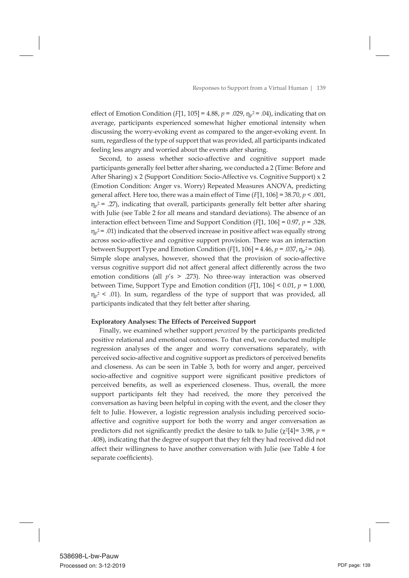effect of Emotion Condition (*F*[1, 105] = 4.88,  $p = .029$ ,  $n_p^2 = .04$ ), indicating that on average, participants experienced somewhat higher emotional intensity when discussing the worry-evoking event as compared to the anger-evoking event. In sum, regardless of the type of support that was provided, all participants indicated feeling less angry and worried about the events after sharing.

 Second, to assess whether socio-affective and cognitive support made participants generally feel better after sharing, we conducted a 2 (Time: Before and After Sharing) x 2 (Support Condition: Socio-Affective vs. Cognitive Support) x 2 (Emotion Condition: Anger vs. Worry) Repeated Measures ANOVA, predicting general affect. Here too, there was a main effect of Time (*F*[1, 106] = 38.70, *p* < .001,  $n_p^2$  = .27), indicating that overall, participants generally felt better after sharing with Julie (see Table 2 for all means and standard deviations). The absence of an interaction effect between Time and Support Condition (*F*[1, 106] = 0.97, *p* = .328,  $n_p^2$  = .01) indicated that the observed increase in positive affect was equally strong across socio-affective and cognitive support provision. There was an interaction between Support Type and Emotion Condition  $(F[1, 106] = 4.46, p = .037, n_p^2 = .04)$ . Simple slope analyses, however, showed that the provision of socio-affective versus cognitive support did not affect general affect differently across the two emotion conditions (all *p*'s > .273). No three-way interaction was observed between Time, Support Type and Emotion condition (*F*[1, 106] < 0.01, *p* = 1.000,  $n_p^2$  < .01). In sum, regardless of the type of support that was provided, all participants indicated that they felt better after sharing.

### **Exploratory Analyses: The Effects of Perceived Support**

 Finally, we examined whether support *perceived* by the participants predicted positive relational and emotional outcomes. To that end, we conducted multiple regression analyses of the anger and worry conversations separately, with perceived socio-affective and cognitive support as predictors of perceived benefits and closeness. As can be seen in Table 3, both for worry and anger, perceived socio-affective and cognitive support were significant positive predictors of perceived benefits, as well as experienced closeness. Thus, overall, the more support participants felt they had received, the more they perceived the conversation as having been helpful in coping with the event, and the closer they felt to Julie. However, a logistic regression analysis including perceived socioaffective and cognitive support for both the worry and anger conversation as predictors did not significantly predict the desire to talk to Julie ( $\chi^2$ [4] = 3.98, *p* = .408), indicating that the degree of support that they felt they had received did not affect their willingness to have another conversation with Julie (see Table 4 for separate coefficients).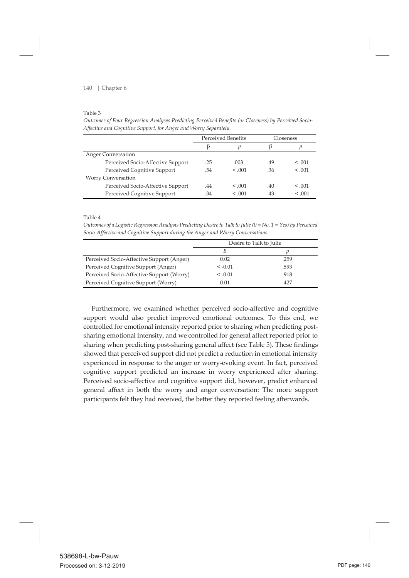#### Table 3

*Outcomes of Four Regression Analyses Predicting Perceived Benefits (or Closeness) by Perceived Socio-Affective and Cognitive Support, for Anger and Worry Separately.*

|                                   | Perceived Benefits |        | loseness. |             |
|-----------------------------------|--------------------|--------|-----------|-------------|
|                                   |                    |        |           |             |
| Anger Conversation                |                    |        |           |             |
| Perceived Socio-Affective Support | .25                | .003   | .49       | $\leq 0.01$ |
| Perceived Cognitive Support       | .54                | < 0.01 | .36       | < 0.01      |
| <b>Worry Conversation</b>         |                    |        |           |             |
| Perceived Socio-Affective Support | .44                | < 0.01 | .40       | < 0.01      |
| Perceived Cognitive Support       | .34                | < 0.01 | .43       | < 0.01      |

Table 4

*Outcomes of a Logistic Regression Analysis Predicting Desire to Talk to Julie (0 = No, 1 = Yes) by Perceived Socio-Affective and Cognitive Support during the Anger and Worry Conversations.* 

|                                           | Desire to Talk to Julie |      |  |
|-------------------------------------------|-------------------------|------|--|
|                                           |                         |      |  |
| Perceived Socio-Affective Support (Anger) | 0.02                    | .259 |  |
| Perceived Cognitive Support (Anger)       | $\leq -0.01$            | .593 |  |
| Perceived Socio-Affective Support (Worry) | $\leq -0.01$            | .918 |  |
| Perceived Cognitive Support (Worry)       | 0.01                    | .427 |  |

 Furthermore, we examined whether perceived socio-affective and cognitive support would also predict improved emotional outcomes. To this end, we controlled for emotional intensity reported prior to sharing when predicting postsharing emotional intensity, and we controlled for general affect reported prior to sharing when predicting post-sharing general affect (see Table 5). These findings showed that perceived support did not predict a reduction in emotional intensity experienced in response to the anger or worry-evoking event. In fact, perceived cognitive support predicted an increase in worry experienced after sharing. Perceived socio-affective and cognitive support did, however, predict enhanced general affect in both the worry and anger conversation: The more support participants felt they had received, the better they reported feeling afterwards.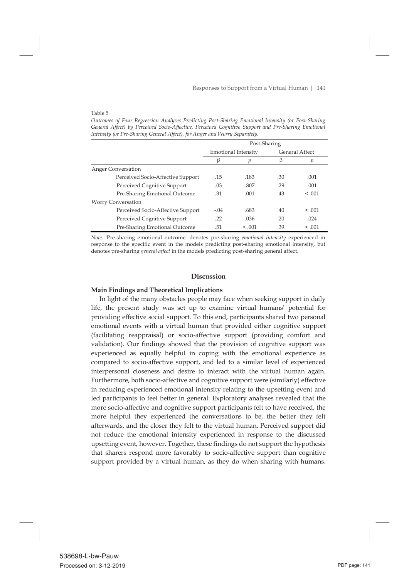#### Table 5

*Outcomes of Four Regression Analyses Predicting Post-Sharing Emotional Intensity (or Post-Sharing General Affect) by Perceived Socio-Affective, Perceived Cognitive Support and Pre-Sharing Emotional Intensity (or Pre-Sharing General Affect), for Anger and Worry Separately.* 

|                                   | Post-Sharing               |         |                       |         |
|-----------------------------------|----------------------------|---------|-----------------------|---------|
|                                   | <b>Emotional Intensity</b> |         | <b>General Affect</b> |         |
|                                   | ß                          | п       | ß                     |         |
| Anger Conversation                |                            |         |                       |         |
| Perceived Socio-Affective Support | .15                        | .183    | .30                   | .001    |
| Perceived Cognitive Support       | .03                        | .807    | .29                   | .001    |
| Pre-Sharing Emotional Outcome     | .31                        | .001    | .43                   | < 0.01  |
| <b>Worry Conversation</b>         |                            |         |                       |         |
| Perceived Socio-Affective Support | $-.04$                     | .683    | .40                   | < 0.01  |
| Perceived Cognitive Support       | .22                        | .036    | .20                   | .024    |
| Pre-Sharing Emotional Outcome     | .51                        | < 0.001 | .39                   | < 0.001 |

*Note*. 'Pre-sharing emotional outcome' denotes pre-sharing *emotional intensity* experienced in response to the specific event in the models predicting post-sharing emotional intensity, but denotes pre-sharing *general affect* in the models predicting post-sharing general affect.

### **Discussion**

### **Main Findings and Theoretical Implications**

 In light of the many obstacles people may face when seeking support in daily life, the present study was set up to examine virtual humans' potential for providing effective social support. To this end, participants shared two personal emotional events with a virtual human that provided either cognitive support (facilitating reappraisal) or socio-affective support (providing comfort and validation). Our findings showed that the provision of cognitive support was experienced as equally helpful in coping with the emotional experience as compared to socio-affective support, and led to a similar level of experienced interpersonal closeness and desire to interact with the virtual human again. Furthermore, both socio-affective and cognitive support were (similarly) effective in reducing experienced emotional intensity relating to the upsetting event and led participants to feel better in general. Exploratory analyses revealed that the more socio-affective and cognitive support participants felt to have received, the more helpful they experienced the conversations to be, the better they felt afterwards, and the closer they felt to the virtual human. Perceived support did not reduce the emotional intensity experienced in response to the discussed upsetting event, however. Together, these findings do not support the hypothesis that sharers respond more favorably to socio-affective support than cognitive support provided by a virtual human, as they do when sharing with humans.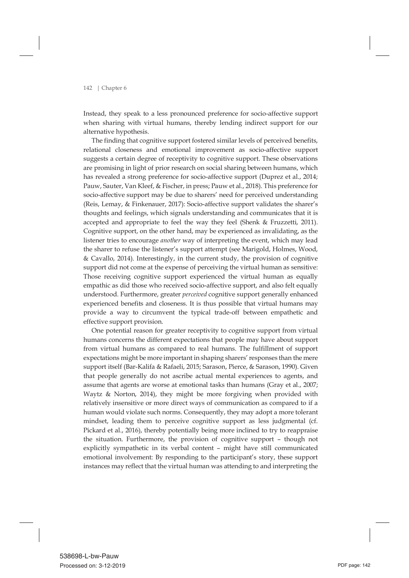Instead, they speak to a less pronounced preference for socio-affective support when sharing with virtual humans, thereby lending indirect support for our alternative hypothesis.

 The finding that cognitive support fostered similar levels of perceived benefits, relational closeness and emotional improvement as socio-affective support suggests a certain degree of receptivity to cognitive support. These observations are promising in light of prior research on social sharing between humans, which has revealed a strong preference for socio-affective support (Duprez et al., 2014; Pauw, Sauter, Van Kleef, & Fischer, in press; Pauw et al., 2018). This preference for socio-affective support may be due to sharers' need for perceived understanding (Reis, Lemay, & Finkenauer, 2017): Socio-affective support validates the sharer's thoughts and feelings, which signals understanding and communicates that it is accepted and appropriate to feel the way they feel (Shenk & Fruzzetti, 2011). Cognitive support, on the other hand, may be experienced as invalidating, as the listener tries to encourage *another* way of interpreting the event, which may lead the sharer to refuse the listener's support attempt (see Marigold, Holmes, Wood, & Cavallo, 2014). Interestingly, in the current study, the provision of cognitive support did not come at the expense of perceiving the virtual human as sensitive: Those receiving cognitive support experienced the virtual human as equally empathic as did those who received socio-affective support, and also felt equally understood. Furthermore, greater *perceived* cognitive support generally enhanced experienced benefits and closeness. It is thus possible that virtual humans may provide a way to circumvent the typical trade-off between empathetic and effective support provision.

 One potential reason for greater receptivity to cognitive support from virtual humans concerns the different expectations that people may have about support from virtual humans as compared to real humans. The fulfillment of support expectations might be more important in shaping sharers' responses than the mere support itself (Bar-Kalifa & Rafaeli, 2015; Sarason, Pierce, & Sarason, 1990). Given that people generally do not ascribe actual mental experiences to agents, and assume that agents are worse at emotional tasks than humans (Gray et al., 2007; Waytz & Norton, 2014), they might be more forgiving when provided with relatively insensitive or more direct ways of communication as compared to if a human would violate such norms. Consequently, they may adopt a more tolerant mindset, leading them to perceive cognitive support as less judgmental (cf. Pickard et al., 2016), thereby potentially being more inclined to try to reappraise the situation. Furthermore, the provision of cognitive support – though not explicitly sympathetic in its verbal content – might have still communicated emotional involvement: By responding to the participant's story, these support instances may reflect that the virtual human was attending to and interpreting the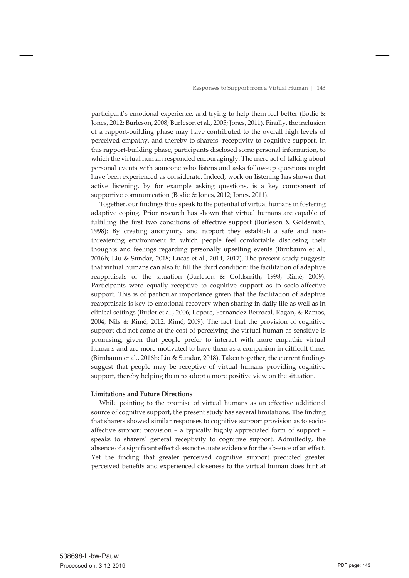participant's emotional experience, and trying to help them feel better (Bodie & Jones, 2012; Burleson, 2008; Burleson et al., 2005; Jones, 2011). Finally, the inclusion of a rapport-building phase may have contributed to the overall high levels of perceived empathy, and thereby to sharers' receptivity to cognitive support. In this rapport-building phase, participants disclosed some personal information, to which the virtual human responded encouragingly. The mere act of talking about personal events with someone who listens and asks follow-up questions might have been experienced as considerate. Indeed, work on listening has shown that active listening, by for example asking questions, is a key component of supportive communication (Bodie & Jones, 2012; Jones, 2011).

 Together, our findings thus speak to the potential of virtual humans in fostering adaptive coping. Prior research has shown that virtual humans are capable of fulfilling the first two conditions of effective support (Burleson & Goldsmith, 1998): By creating anonymity and rapport they establish a safe and nonthreatening environment in which people feel comfortable disclosing their thoughts and feelings regarding personally upsetting events (Birnbaum et al., 2016b; Liu & Sundar, 2018; Lucas et al., 2014, 2017). The present study suggests that virtual humans can also fulfill the third condition: the facilitation of adaptive reappraisals of the situation (Burleson & Goldsmith, 1998; Rimé, 2009). Participants were equally receptive to cognitive support as to socio-affective support. This is of particular importance given that the facilitation of adaptive reappraisals is key to emotional recovery when sharing in daily life as well as in clinical settings (Butler et al., 2006; Lepore, Fernandez-Berrocal, Ragan, & Ramos, 2004; Nils & Rimé, 2012; Rimé, 2009). The fact that the provision of cognitive support did not come at the cost of perceiving the virtual human as sensitive is promising, given that people prefer to interact with more empathic virtual humans and are more motivated to have them as a companion in difficult times (Birnbaum et al., 2016b; Liu & Sundar, 2018). Taken together, the current findings suggest that people may be receptive of virtual humans providing cognitive support, thereby helping them to adopt a more positive view on the situation.

### **Limitations and Future Directions**

 While pointing to the promise of virtual humans as an effective additional source of cognitive support, the present study has several limitations. The finding that sharers showed similar responses to cognitive support provision as to socioaffective support provision – a typically highly appreciated form of support – speaks to sharers' general receptivity to cognitive support. Admittedly, the absence of a significant effect does not equate evidence for the absence of an effect. Yet the finding that greater perceived cognitive support predicted greater perceived benefits and experienced closeness to the virtual human does hint at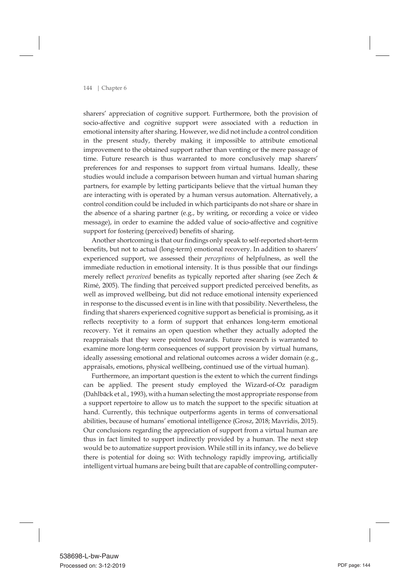sharers' appreciation of cognitive support. Furthermore, both the provision of socio-affective and cognitive support were associated with a reduction in emotional intensity after sharing. However, we did not include a control condition in the present study, thereby making it impossible to attribute emotional improvement to the obtained support rather than venting or the mere passage of time. Future research is thus warranted to more conclusively map sharers' preferences for and responses to support from virtual humans. Ideally, these studies would include a comparison between human and virtual human sharing partners, for example by letting participants believe that the virtual human they are interacting with is operated by a human versus automation. Alternatively, a control condition could be included in which participants do not share or share in the absence of a sharing partner (e.g., by writing, or recording a voice or video message), in order to examine the added value of socio-affective and cognitive support for fostering (perceived) benefits of sharing.

 Another shortcoming is that our findings only speak to self-reported short-term benefits, but not to actual (long-term) emotional recovery. In addition to sharers' experienced support, we assessed their *perceptions* of helpfulness, as well the immediate reduction in emotional intensity. It is thus possible that our findings merely reflect *perceived* benefits as typically reported after sharing (see Zech & Rimé, 2005). The finding that perceived support predicted perceived benefits, as well as improved wellbeing, but did not reduce emotional intensity experienced in response to the discussed event is in line with that possibility. Nevertheless, the finding that sharers experienced cognitive support as beneficial is promising, as it reflects receptivity to a form of support that enhances long-term emotional recovery. Yet it remains an open question whether they actually adopted the reappraisals that they were pointed towards. Future research is warranted to examine more long-term consequences of support provision by virtual humans, ideally assessing emotional and relational outcomes across a wider domain (e.g., appraisals, emotions, physical wellbeing, continued use of the virtual human).

 Furthermore, an important question is the extent to which the current findings can be applied. The present study employed the Wizard-of-Oz paradigm (Dahlbäck et al., 1993), with a human selecting the most appropriate response from a support repertoire to allow us to match the support to the specific situation at hand. Currently, this technique outperforms agents in terms of conversational abilities, because of humans' emotional intelligence (Grosz, 2018; Mavridis, 2015). Our conclusions regarding the appreciation of support from a virtual human are thus in fact limited to support indirectly provided by a human. The next step would be to automatize support provision. While still in its infancy, we do believe there is potential for doing so: With technology rapidly improving, artificially intelligent virtual humans are being built that are capable of controlling computer-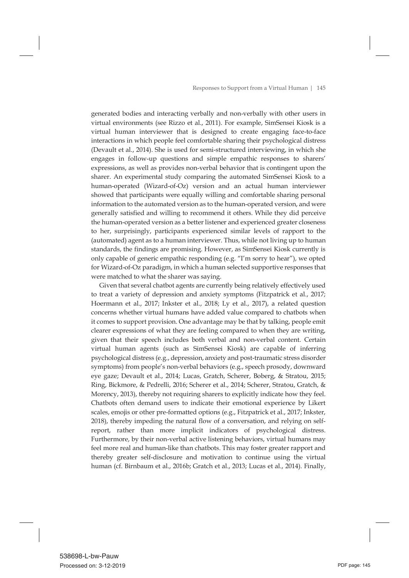generated bodies and interacting verbally and non-verbally with other users in virtual environments (see Rizzo et al., 2011). For example, SimSensei Kiosk is a virtual human interviewer that is designed to create engaging face-to-face interactions in which people feel comfortable sharing their psychological distress (Devault et al., 2014). She is used for semi-structured interviewing, in which she engages in follow-up questions and simple empathic responses to sharers' expressions, as well as provides non-verbal behavior that is contingent upon the sharer. An experimental study comparing the automated SimSensei Kiosk to a human-operated (Wizard-of-Oz) version and an actual human interviewer showed that participants were equally willing and comfortable sharing personal information to the automated version as to the human-operated version, and were generally satisfied and willing to recommend it others. While they did perceive the human-operated version as a better listener and experienced greater closeness to her, surprisingly, participants experienced similar levels of rapport to the (automated) agent as to a human interviewer. Thus, while not living up to human standards, the findings are promising. However, as SimSensei Kiosk currently is only capable of generic empathic responding (e.g. "I'm sorry to hear"), we opted for Wizard-of-Oz paradigm, in which a human selected supportive responses that were matched to what the sharer was saying.

 Given that several chatbot agents are currently being relatively effectively used to treat a variety of depression and anxiety symptoms (Fitzpatrick et al., 2017; Hoermann et al., 2017; Inkster et al., 2018; Ly et al., 2017), a related question concerns whether virtual humans have added value compared to chatbots when it comes to support provision. One advantage may be that by talking, people emit clearer expressions of what they are feeling compared to when they are writing, given that their speech includes both verbal and non-verbal content. Certain virtual human agents (such as SimSensei Kiosk) are capable of inferring psychological distress (e.g., depression, anxiety and post-traumatic stress disorder symptoms) from people's non-verbal behaviors (e.g., speech prosody, downward eye gaze; Devault et al., 2014; Lucas, Gratch, Scherer, Boberg, & Stratou, 2015; Ring, Bickmore, & Pedrelli, 2016; Scherer et al., 2014; Scherer, Stratou, Gratch, & Morency, 2013), thereby not requiring sharers to explicitly indicate how they feel. Chatbots often demand users to indicate their emotional experience by Likert scales, emojis or other pre-formatted options (e.g., Fitzpatrick et al., 2017; Inkster, 2018), thereby impeding the natural flow of a conversation, and relying on selfreport, rather than more implicit indicators of psychological distress. Furthermore, by their non-verbal active listening behaviors, virtual humans may feel more real and human-like than chatbots. This may foster greater rapport and thereby greater self-disclosure and motivation to continue using the virtual human (cf. Birnbaum et al., 2016b; Gratch et al., 2013; Lucas et al., 2014). Finally,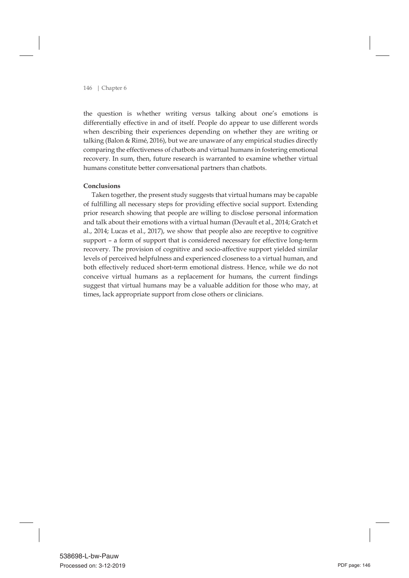the question is whether writing versus talking about one's emotions is differentially effective in and of itself. People do appear to use different words when describing their experiences depending on whether they are writing or talking (Balon & Rimé, 2016), but we are unaware of any empirical studies directly comparing the effectiveness of chatbots and virtual humans in fostering emotional recovery. In sum, then, future research is warranted to examine whether virtual humans constitute better conversational partners than chatbots.

### **Conclusions**

 Taken together, the present study suggests that virtual humans may be capable of fulfilling all necessary steps for providing effective social support. Extending prior research showing that people are willing to disclose personal information and talk about their emotions with a virtual human (Devault et al., 2014; Gratch et al., 2014; Lucas et al., 2017), we show that people also are receptive to cognitive support – a form of support that is considered necessary for effective long-term recovery. The provision of cognitive and socio-affective support yielded similar levels of perceived helpfulness and experienced closeness to a virtual human, and both effectively reduced short-term emotional distress. Hence, while we do not conceive virtual humans as a replacement for humans, the current findings suggest that virtual humans may be a valuable addition for those who may, at times, lack appropriate support from close others or clinicians.